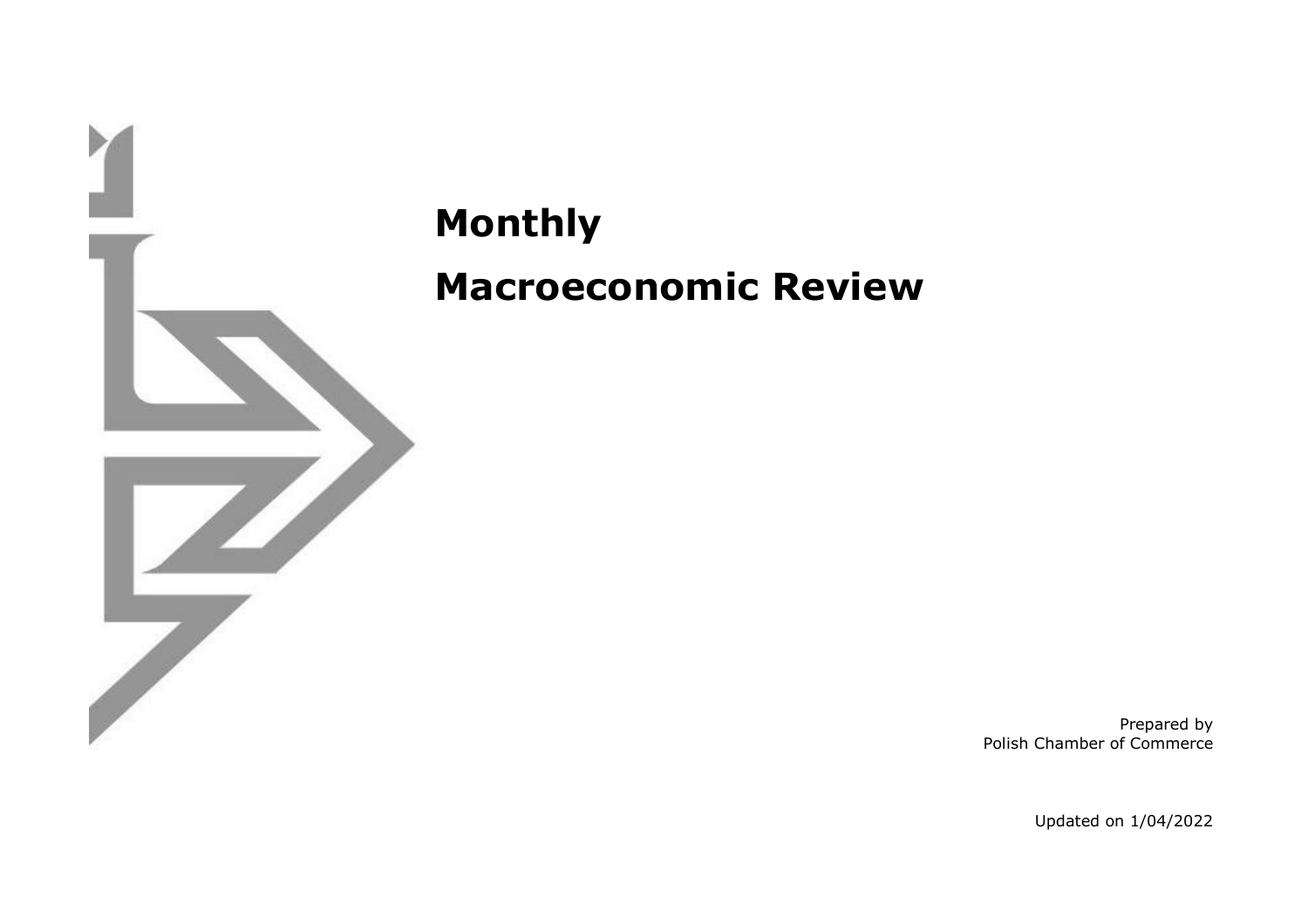

## **Monthly Macroeconomic Review**

Prepared by Polish Chamber of Commerce

Updated on 1/04/2022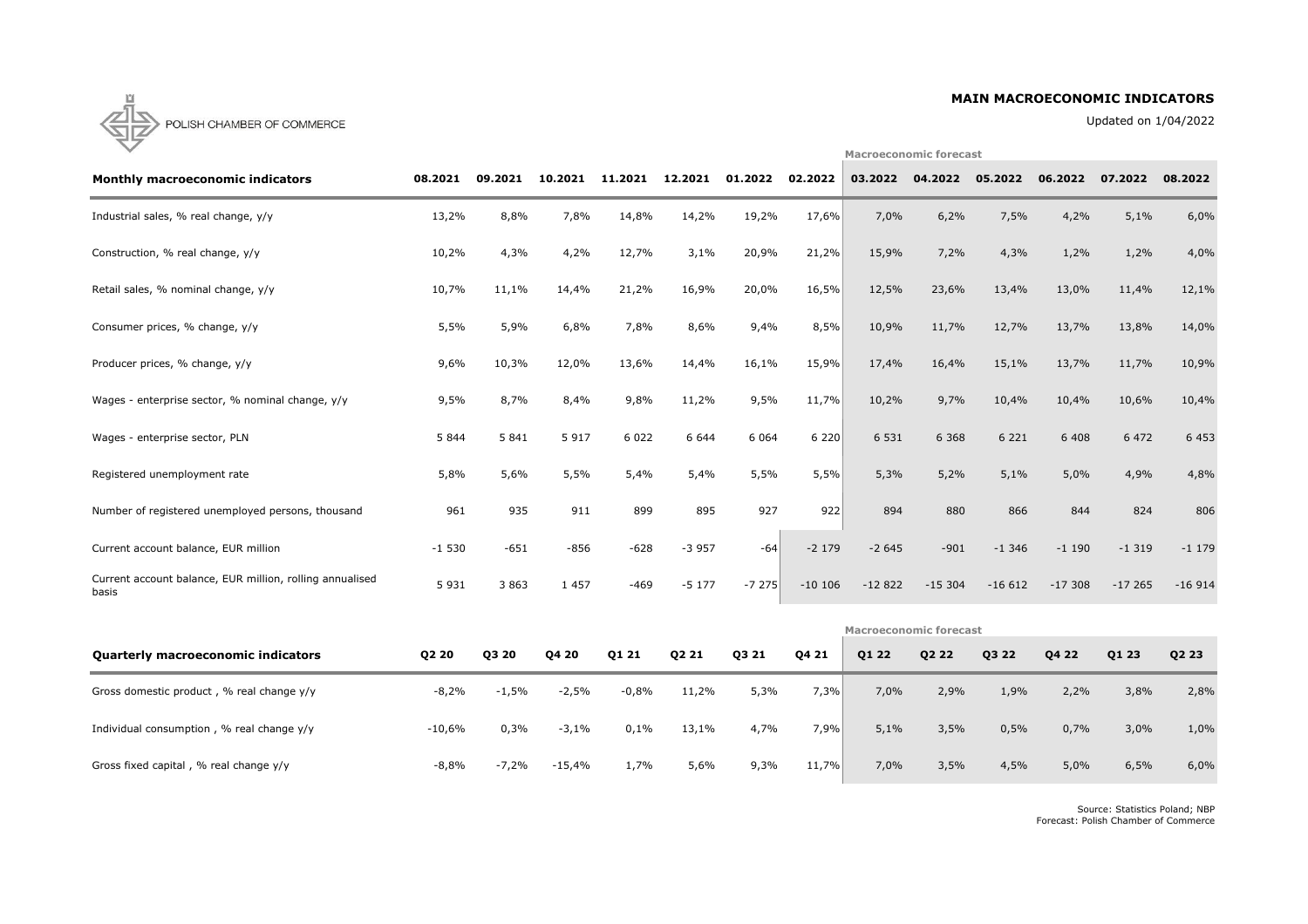### **MAIN MACROECONOMIC INDICATORS**

Updated on 1/04/2022

**Macroeconomic forecast**



| <b>Monthly macroeconomic indicators</b>                           | 08.2021                       | 09.2021 | 10.2021 | 11.2021 | 12.2021 | 01.2022 | 02.2022   | 03.2022  | 04.2022  | 05.2022  | 06.2022  | 07.2022  | 08.2022  |
|-------------------------------------------------------------------|-------------------------------|---------|---------|---------|---------|---------|-----------|----------|----------|----------|----------|----------|----------|
| Industrial sales, % real change, y/y                              | 13,2%                         | 8,8%    | 7,8%    | 14,8%   | 14,2%   | 19,2%   | 17,6%     | 7,0%     | 6,2%     | 7,5%     | 4,2%     | 5,1%     | 6,0%     |
| Construction, % real change, y/y                                  | 10,2%                         | 4,3%    | 4,2%    | 12,7%   | 3,1%    | 20,9%   | 21,2%     | 15,9%    | 7,2%     | 4,3%     | 1,2%     | 1,2%     | 4,0%     |
| Retail sales, % nominal change, y/y                               | 10,7%                         | 11,1%   | 14,4%   | 21,2%   | 16,9%   | 20,0%   | 16,5%     | 12,5%    | 23,6%    | 13,4%    | 13,0%    | 11,4%    | 12,1%    |
| Consumer prices, % change, y/y                                    | 5,5%                          | 5,9%    | 6,8%    | 7,8%    | 8,6%    | 9,4%    | 8,5%      | 10,9%    | 11,7%    | 12,7%    | 13,7%    | 13,8%    | 14,0%    |
| Producer prices, % change, y/y                                    | 9,6%                          | 10,3%   | 12,0%   | 13,6%   | 14,4%   | 16,1%   | 15,9%     | 17,4%    | 16,4%    | 15,1%    | 13,7%    | 11,7%    | 10,9%    |
| Wages - enterprise sector, % nominal change, y/y                  | 9,5%                          | 8,7%    | 8,4%    | 9,8%    | 11,2%   | 9,5%    | 11,7%     | 10,2%    | 9,7%     | 10,4%    | 10,4%    | 10,6%    | 10,4%    |
| Wages - enterprise sector, PLN                                    | 5 8 4 4                       | 5 8 4 1 | 5 9 1 7 | 6 0 2 2 | 6 6 4 4 | 6 0 6 4 | 6220      | 6 5 3 1  | 6 3 6 8  | 6 2 2 1  | 6 4 0 8  | 6 4 7 2  | 6 4 5 3  |
| Registered unemployment rate                                      | 5,8%                          | 5,6%    | 5,5%    | 5,4%    | 5,4%    | 5,5%    | 5,5%      | 5,3%     | 5,2%     | 5,1%     | 5,0%     | 4,9%     | 4,8%     |
| Number of registered unemployed persons, thousand                 | 961                           | 935     | 911     | 899     | 895     | 927     | 922       | 894      | 880      | 866      | 844      | 824      | 806      |
| Current account balance, EUR million                              | $-1530$                       | $-651$  | $-856$  | $-628$  | $-3957$ | $-64$   | $-2$ 179  | $-2645$  | $-901$   | $-1.346$ | $-1190$  | $-1319$  | $-1179$  |
| Current account balance, EUR million, rolling annualised<br>basis | 5 9 3 1                       | 3 8 6 3 | 1 4 5 7 | $-469$  | $-5177$ | $-7275$ | $-10$ 106 | $-12822$ | $-15304$ | $-16612$ | $-17308$ | $-17265$ | $-16914$ |
|                                                                   | <b>Macroeconomic forecast</b> |         |         |         |         |         |           |          |          |          |          |          |          |

| <b>Quarterly macroeconomic indicators</b>   | Q2 20    | Q3 20   | Q4 20    | Q1 21   | Q2 21 | Q3 21 | Q4 21 | Q1 22 | Q2 22 | Q3 22 | Q4 22 | Q1 23 | Q2 23 |
|---------------------------------------------|----------|---------|----------|---------|-------|-------|-------|-------|-------|-------|-------|-------|-------|
| Gross domestic product, % real change y/y   | $-8,2%$  | $-1,5%$ | $-2,5%$  | $-0,8%$ | 11,2% | 5,3%  | 7,3%  | 7,0%  | 2,9%  | 1,9%  | 2,2%  | 3,8%  | 2,8%  |
| Individual consumption, % real change $y/y$ | $-10,6%$ | 0,3%    | $-3,1%$  | 0,1%    | 13,1% | 4,7%  | 7,9%  | 5,1%  | 3,5%  | 0,5%  | 0,7%  | 3,0%  | 1,0%  |
| Gross fixed capital, % real change y/y      | -8,8%    | $-7,2%$ | $-15,4%$ | 1,7%    | 5,6%  | 9,3%  | 11,7% | 7,0%  | 3,5%  | 4,5%  | 5,0%  | 6,5%  | 6,0%  |

Source: Statistics Poland; NBP Forecast: Polish Chamber of Commerce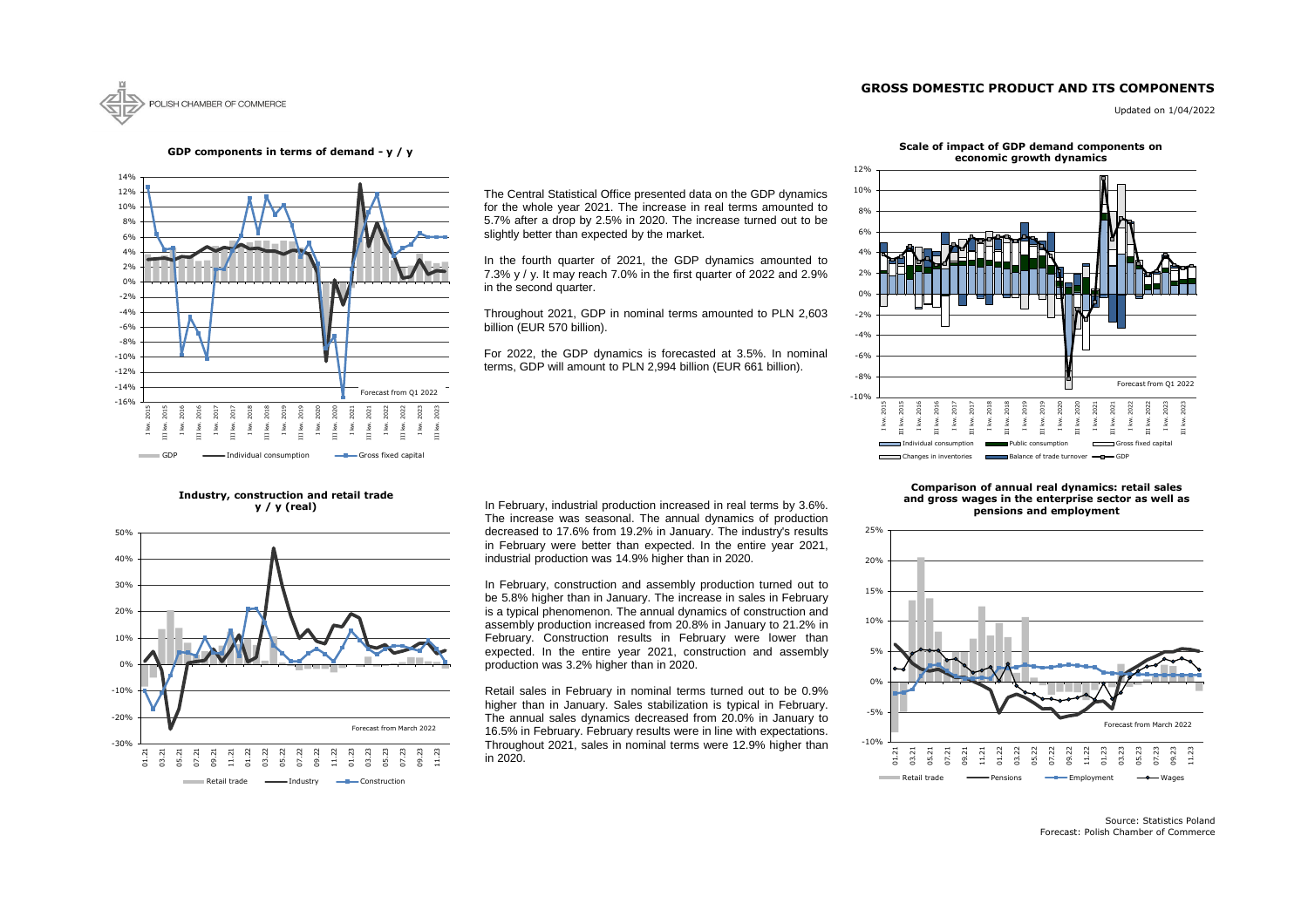### **GROSS DOMESTIC PRODUCT AND ITS COMPONENTS**



Updated on 1/04/2022

Source: Statistics Poland Forecast: Polish Chamber of Commerce



### **GDP components in terms of demand - y / y**

**Industry, construction and retail trade y / y (real)**







### **Scale of impact of GDP demand components on**



### **Comparison of annual real dynamics: retail sales and gross wages in the enterprise sector as well as pensions and employment**

The Central Statistical Office presented data on the GDP dynamics for the whole year 2021. The increase in real terms amounted to 5.7% after a drop by 2.5% in 2020. The increase turned out to be slightly better than expected by the market.

In the fourth quarter of 2021, the GDP dynamics amounted to 7.3% y / y. It may reach 7.0% in the first quarter of 2022 and 2.9% in the second quarter.

Throughout 2021, GDP in nominal terms amounted to PLN 2,603 billion (EUR 570 billion).

For 2022, the GDP dynamics is forecasted at 3.5%. In nominal terms, GDP will amount to PLN 2,994 billion (EUR 661 billion).

In February, industrial production increased in real terms by 3.6%. The increase was seasonal. The annual dynamics of production decreased to 17.6% from 19.2% in January. The industry's results in February were better than expected. In the entire year 2021, industrial production was 14.9% higher than in 2020.

In February, construction and assembly production turned out to be 5.8% higher than in January. The increase in sales in February is a typical phenomenon. The annual dynamics of construction and assembly production increased from 20.8% in January to 21.2% in February. Construction results in February were lower than expected. In the entire year 2021, construction and assembly production was 3.2% higher than in 2020.

Retail sales in February in nominal terms turned out to be 0.9% higher than in January. Sales stabilization is typical in February. The annual sales dynamics decreased from 20.0% in January to 16.5% in February. February results were in line with expectations. Throughout 2021, sales in nominal terms were 12.9% higher than in 2020.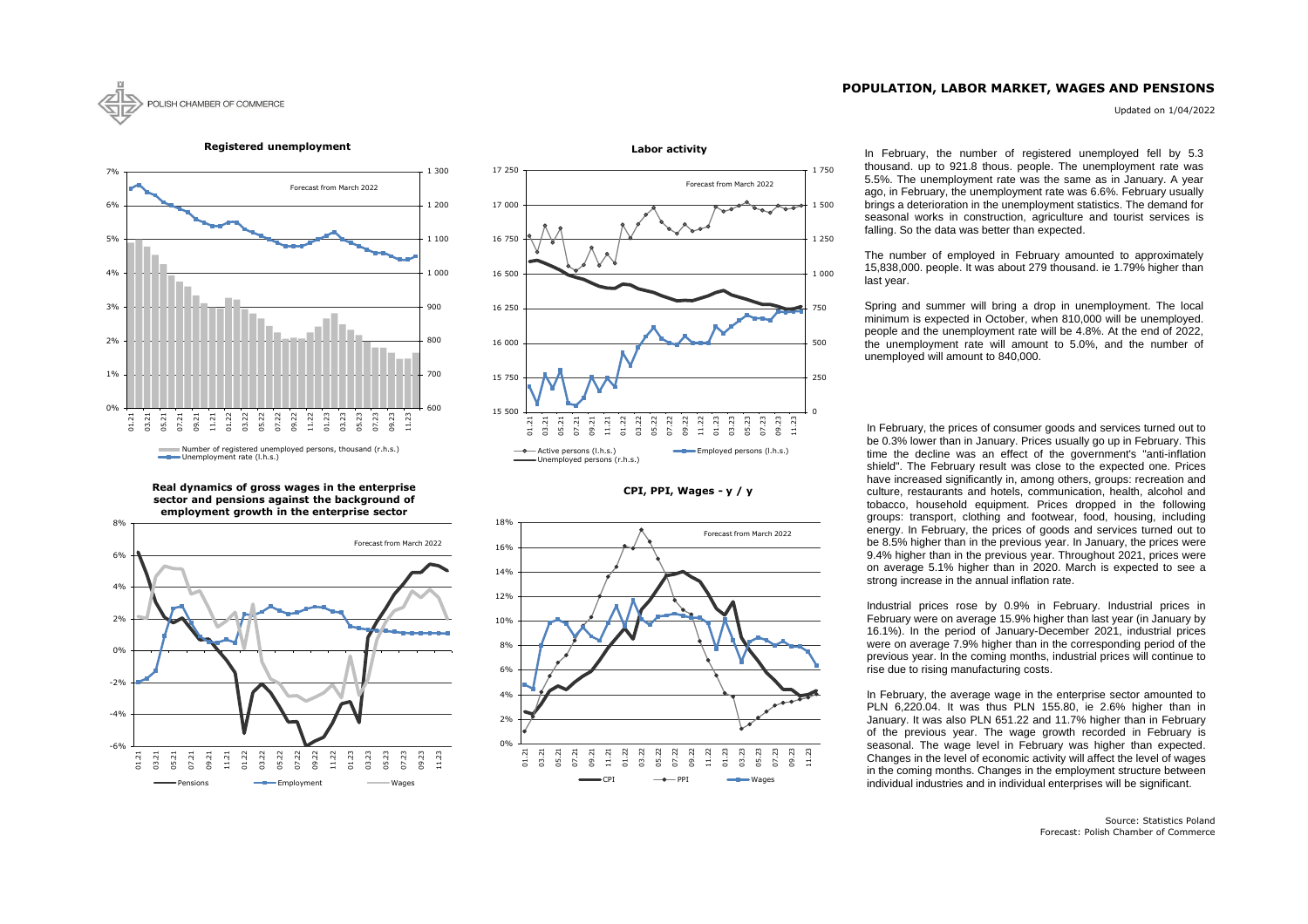### **POPULATION, LABOR MARKET, WAGES AND PENSIONS**

Updated on 1/04/2022



### **CPI, PPI, Wages - y / y**



### 600 700 800 900 1 000 1 100 1 200 1 300  $0<sub>0</sub>$ 1% 2% 3% 4% 5% 6% 7% 01.21 03.21 05.21 07.21 09.21 11.21 01.22 03.22 05.22 07.22 09.22 11.22 01.23 03.23 05.23 07.23 09.23 11.23 Number of registered unemployed persons, thousand (r.h.s.) Unemployment rate (l.h.s.) Forecast from March 2022

**Registered unemployment**



**Real dynamics of gross wages in the enterprise sector and pensions against the background of employment growth in the enterprise sector**



In February, the number of registered unemployed fell by 5.3 thousand. up to 921.8 thous. people. The unemployment rate was 5.5%. The unemployment rate was the same as in January. A year ago, in February, the unemployment rate was 6.6%. February usually brings a deterioration in the unemployment statistics. The demand for seasonal works in construction, agriculture and tourist services is

In February, the prices of consumer goods and services turned out to be 0.3% lower than in January. Prices usually go up in February. This time the decline was an effect of the government's "anti-inflation shield". The February result was close to the expected one. Prices have increased significantly in, among others, groups: recreation and culture, restaurants and hotels, communication, health, alcohol and tobacco, household equipment. Prices dropped in the following groups: transport, clothing and footwear, food, housing, including energy. In February, the prices of goods and services turned out to be 8.5% higher than in the previous year. In January, the prices were 9.4% higher than in the previous year. Throughout 2021, prices were on average 5.1% higher than in 2020. March is expected to see a strong increase in the annual inflation rate.

Industrial prices rose by 0.9% in February. Industrial prices in February were on average 15.9% higher than last year (in January by 16.1%). In the period of January-December 2021, industrial prices were on average 7.9% higher than in the corresponding period of the previous year. In the coming months, industrial prices will continue to rise due to rising manufacturing costs.

In February, the average wage in the enterprise sector amounted to PLN 6,220.04. It was thus PLN 155.80, ie 2.6% higher than in January. It was also PLN 651.22 and 11.7% higher than in February of the previous year. The wage growth recorded in February is seasonal. The wage level in February was higher than expected. Changes in the level of economic activity will affect the level of wages in the coming months. Changes in the employment structure between individual industries and in individual enterprises will be significant.

# falling. So the data was better than expected.

The number of employed in February amounted to approximately 15,838,000. people. It was about 279 thousand. ie 1.79% higher than last year.

Spring and summer will bring a drop in unemployment. The local minimum is expected in October, when 810,000 will be unemployed. people and the unemployment rate will be 4.8%. At the end of 2022, the unemployment rate will amount to 5.0%, and the number of unemployed will amount to 840,000.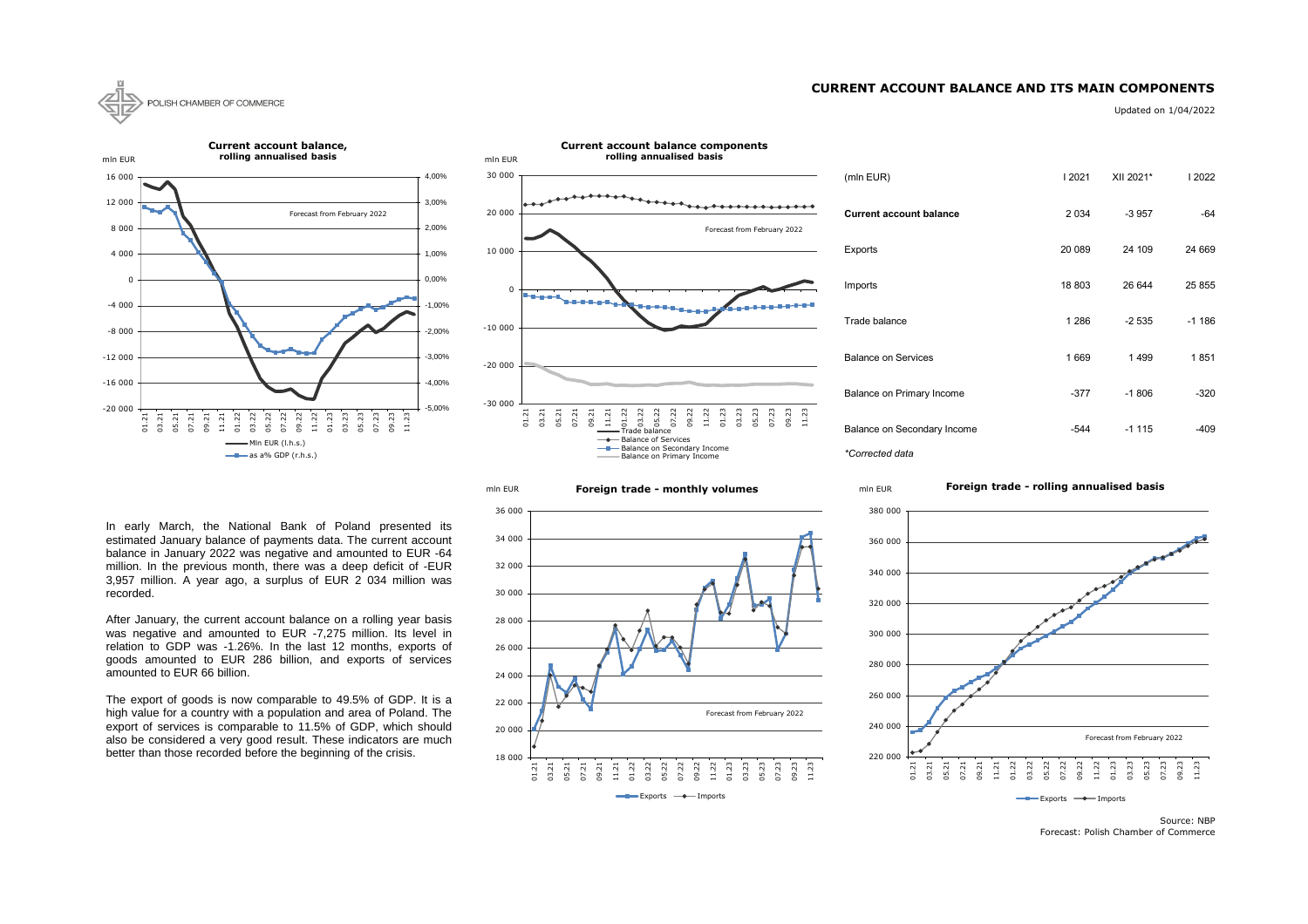### **CURRENT ACCOUNT BALANCE AND ITS MAIN COMPONENTS**



Updated on 1/04/2022

| (mln EUR)                      | 2021    | XII 2021* | 2022    |
|--------------------------------|---------|-----------|---------|
| <b>Current account balance</b> | 2 0 3 4 | $-3957$   | -64     |
| Exports                        | 20 089  | 24 109    | 24 669  |
| Imports                        | 18 803  | 26 644    | 25 855  |
| Trade balance                  | 1 2 8 6 | -2 535    | $-1186$ |
| <b>Balance on Services</b>     | 1669    | 1499      | 1851    |
| Balance on Primary Income      | -377    | $-1806$   | $-320$  |
| Balance on Secondary Income    | -544    | $-1115$   | -409    |

Forecast: Polish Chamber of Commerce





**Foreign trade - monthly volumes** mln EUR





In early March, the National Bank of Poland presented its estimated January balance of payments data. The current account balance in January 2022 was negative and amounted to EUR -64 million. In the previous month, there was a deep deficit of -EUR 3,957 million. A year ago, a surplus of EUR 2 034 million was recorded.

After January, the current account balance on a rolling year basis was negative and amounted to EUR -7,275 million. Its level in relation to GDP was -1.26%. In the last 12 months, exports of goods amounted to EUR 286 billion, and exports of services amounted to EUR 66 billion.

The export of goods is now comparable to 49.5% of GDP. It is a high value for a country with a population and area of Poland. The export of services is comparable to 11.5% of GDP, which should also be considered a very good result. These indicators are much better than those recorded before the beginning of the crisis.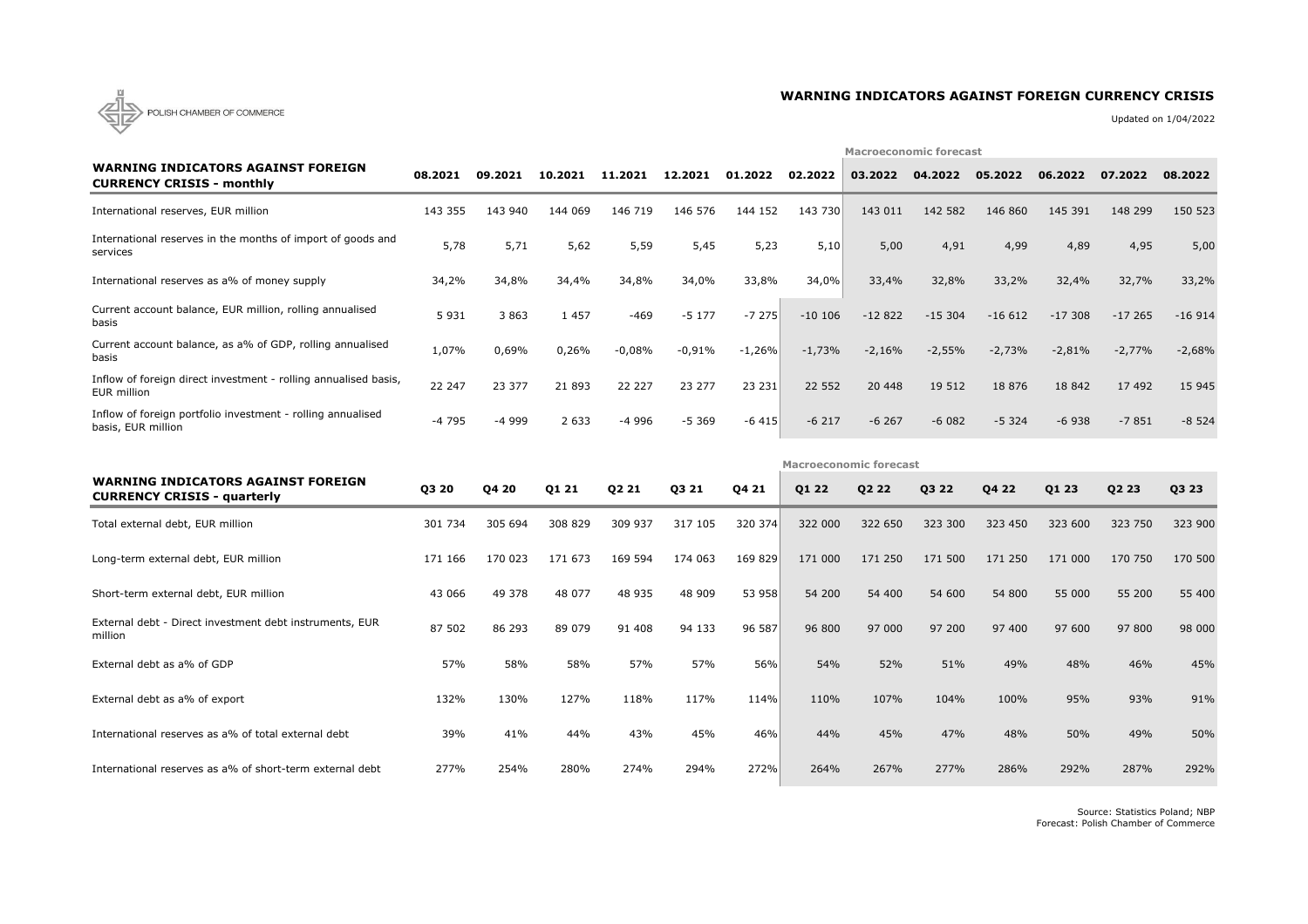

### **WARNING INDICATORS AGAINST FOREIGN CURRENCY CRISIS**

Updated on 1/04/2022

|                                                                                   |         |         |         |          |          | <b>Macroeconomic forecast</b> |          |                               |          |          |          |          |          |  |  |
|-----------------------------------------------------------------------------------|---------|---------|---------|----------|----------|-------------------------------|----------|-------------------------------|----------|----------|----------|----------|----------|--|--|
| <b>WARNING INDICATORS AGAINST FOREIGN</b><br><b>CURRENCY CRISIS - monthly</b>     | 08.2021 | 09.2021 | 10.2021 | 11.2021  | 12.2021  | 01.2022                       | 02.2022  | 03.2022                       | 04.2022  | 05.2022  | 06.2022  | 07.2022  | 08.2022  |  |  |
| International reserves, EUR million                                               | 143 355 | 143 940 | 144 069 | 146 719  | 146 576  | 144 152                       | 143 730  | 143 011                       | 142 582  | 146 860  | 145 391  | 148 299  | 150 523  |  |  |
| International reserves in the months of import of goods and<br>services           | 5,78    | 5,71    | 5,62    | 5,59     | 5,45     | 5,23                          | 5,10     | 5,00                          | 4,91     | 4,99     | 4,89     | 4,95     | 5,00     |  |  |
| International reserves as a% of money supply                                      | 34,2%   | 34,8%   | 34,4%   | 34,8%    | 34,0%    | 33,8%                         | 34,0%    | 33,4%                         | 32,8%    | 33,2%    | 32,4%    | 32,7%    | 33,2%    |  |  |
| Current account balance, EUR million, rolling annualised<br>basis                 | 5 9 3 1 | 3 8 6 3 | 1 4 5 7 | $-469$   | $-5177$  | $-7275$                       | $-10106$ | $-12822$                      | $-15304$ | $-16612$ | $-17308$ | $-17265$ | $-16914$ |  |  |
| Current account balance, as a% of GDP, rolling annualised<br>basis                | 1,07%   | 0,69%   | 0,26%   | $-0,08%$ | $-0,91%$ | $-1,26%$                      | $-1,73%$ | $-2,16%$                      | $-2,55%$ | $-2,73%$ | $-2,81%$ | $-2,77%$ | $-2,68%$ |  |  |
| Inflow of foreign direct investment - rolling annualised basis,<br>EUR million    | 22 247  | 23 377  | 21 893  | 22 227   | 23 277   | 23 231                        | 22 5 52  | 20 448                        | 19 512   | 18 876   | 18 842   | 17 492   | 15 945   |  |  |
| Inflow of foreign portfolio investment - rolling annualised<br>basis, EUR million | $-4795$ | $-4999$ | 2 6 3 3 | $-4996$  | $-5369$  | $-6415$                       | $-6217$  | $-6267$                       | $-6082$  | $-5324$  | $-6938$  | $-7851$  | $-8524$  |  |  |
|                                                                                   |         |         |         |          |          |                               |          | <b>Macroeconomic forecast</b> |          |          |          |          |          |  |  |
| <b>WARNING INDICATORS AGAINST FOREIGN</b><br><b>CURRENCY CRISIS - quarterly</b>   | Q3 20   | Q4 20   | Q1 21   | Q2 21    | Q3 21    | Q4 21                         | Q1 22    | Q2 22                         | Q3 22    | Q4 22    | Q1 23    | Q2 23    | Q3 23    |  |  |
| Total external debt, EUR million                                                  | 301 734 | 305 694 |         |          |          |                               |          |                               |          |          |          |          |          |  |  |
|                                                                                   |         |         | 308 829 | 309 937  | 317 105  | 320 374                       | 322 000  | 322 650                       | 323 300  | 323 450  | 323 600  | 323 750  | 323 900  |  |  |
| Long-term external debt, EUR million                                              | 171 166 | 170 023 | 171 673 | 169 594  | 174 063  | 169 829                       | 171 000  | 171 250                       | 171 500  | 171 250  | 171 000  | 170 750  | 170 500  |  |  |
| Short-term external debt, EUR million                                             | 43 066  | 49 378  | 48 077  | 48 935   | 48 909   | 53 958                        | 54 200   | 54 400                        | 54 600   | 54 800   | 55 000   | 55 200   | 55 400   |  |  |
| External debt - Direct investment debt instruments, EUR<br>million                | 87 502  | 86 293  | 89 079  | 91 408   | 94 133   | 96 587                        | 96 800   | 97 000                        | 97 200   | 97 400   | 97 600   | 97 800   | 98 000   |  |  |
| External debt as a% of GDP                                                        | 57%     | 58%     | 58%     | 57%      | 57%      | 56%                           | 54%      | 52%                           | 51%      | 49%      | 48%      | 46%      | 45%      |  |  |
| External debt as a% of export                                                     | 132%    | 130%    | 127%    | 118%     | 117%     | 114%                          | 110%     | 107%                          | 104%     | 100%     | 95%      | 93%      | 91%      |  |  |
| International reserves as a% of total external debt                               | 39%     | 41%     | 44%     | 43%      | 45%      | 46%                           | 44%      | 45%                           | 47%      | 48%      | 50%      | 49%      | 50%      |  |  |

Source: Statistics Poland; NBP Forecast: Polish Chamber of Commerce